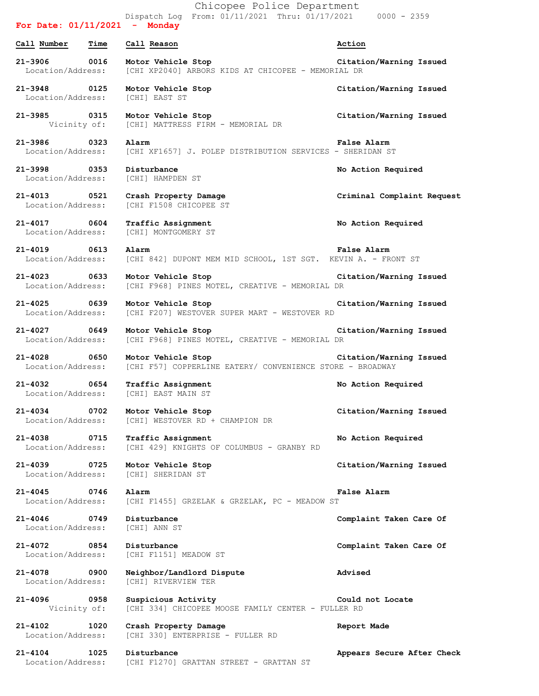|                                   |      | Chicopee Police Department                                                        |                            |
|-----------------------------------|------|-----------------------------------------------------------------------------------|----------------------------|
| For Date: $01/11/2021$ - Monday   |      | Dispatch Log From: 01/11/2021 Thru: 01/17/2021 0000 - 2359                        |                            |
| Call Number                       | Time | Call Reason                                                                       | Action                     |
| 21-3906 0016<br>Location/Address: |      | Motor Vehicle Stop<br>[CHI XP2040] ARBORS KIDS AT CHICOPEE - MEMORIAL DR          | Citation/Warning Issued    |
| 21-3948 0125<br>Location/Address: |      | Motor Vehicle Stop<br>[CHI] EAST ST                                               | Citation/Warning Issued    |
| 21-3985 0315<br>Vicinity of:      |      | Motor Vehicle Stop<br>[CHI] MATTRESS FIRM - MEMORIAL DR                           | Citation/Warning Issued    |
| 21-3986 0323<br>Location/Address: |      | Alarm<br>[CHI XF1657] J. POLEP DISTRIBUTION SERVICES - SHERIDAN ST                | False Alarm                |
| 21-3998 0353<br>Location/Address: |      | Disturbance<br>[CHI] HAMPDEN ST                                                   | No Action Required         |
| 21-4013 0521<br>Location/Address: |      | Crash Property Damage<br>[CHI F1508 CHICOPEE ST                                   | Criminal Complaint Request |
| 21-4017 0604<br>Location/Address: |      | Traffic Assignment<br>[CHI] MONTGOMERY ST                                         | No Action Required         |
| 21-4019 0613<br>Location/Address: |      | Alarm<br>[CHI 842] DUPONT MEM MID SCHOOL, 1ST SGT. KEVIN A. - FRONT ST            | <b>False Alarm</b>         |
| 21-4023 0633<br>Location/Address: |      | Motor Vehicle Stop<br>[CHI F968] PINES MOTEL, CREATIVE - MEMORIAL DR              | Citation/Warning Issued    |
| 21-4025 0639<br>Location/Address: |      | Motor Vehicle Stop<br>[CHI F207] WESTOVER SUPER MART - WESTOVER RD                | Citation/Warning Issued    |
| 21-4027 0649<br>Location/Address: |      | Motor Vehicle Stop<br>[CHI F968] PINES MOTEL, CREATIVE - MEMORIAL DR              | Citation/Warning Issued    |
| 21-4028 0650<br>Location/Address: |      | Motor Vehicle Stop<br>[CHI F57] COPPERLINE EATERY/ CONVENIENCE STORE - BROADWAY   | Citation/Warning Issued    |
| 21-4032 0654                      |      | Traffic Assignment<br>Location/Address: [CHI] EAST MAIN ST                        | No Action Required         |
| 21-4034 0702<br>Location/Address: |      | Motor Vehicle Stop<br>[CHI] WESTOVER RD + CHAMPION DR                             | Citation/Warning Issued    |
| 21-4038 0715                      |      | Traffic Assignment<br>Location/Address: [CHI 429] KNIGHTS OF COLUMBUS - GRANBY RD | No Action Required         |
| 21-4039 0725<br>Location/Address: |      | Motor Vehicle Stop<br>[CHI] SHERIDAN ST                                           | Citation/Warning Issued    |
| 21-4045 0746<br>Location/Address: |      | Alarm<br>[CHI F1455] GRZELAK & GRZELAK, PC - MEADOW ST                            | <b>False Alarm</b>         |
| 21-4046 0749<br>Location/Address: |      | Disturbance<br>[CHI] ANN ST                                                       | Complaint Taken Care Of    |
| 21-4072 0854<br>Location/Address: |      | Disturbance<br>[CHI F1151] MEADOW ST                                              | Complaint Taken Care Of    |
| 21-4078 0900<br>Location/Address: |      | Neighbor/Landlord Dispute<br>[CHI] RIVERVIEW TER                                  | <b>Advised</b>             |
| 21-4096 0958<br>Vicinity of:      |      | Suspicious Activity<br>[CHI 334] CHICOPEE MOOSE FAMILY CENTER - FULLER RD         | Could not Locate           |
| $21 - 4102$<br>Location/Address:  | 1020 | Crash Property Damage<br>[CHI 330] ENTERPRISE - FULLER RD                         | Report Made                |
| 21-4104 1025<br>Location/Address: |      | Disturbance<br>[CHI F1270] GRATTAN STREET - GRATTAN ST                            | Appears Secure After Check |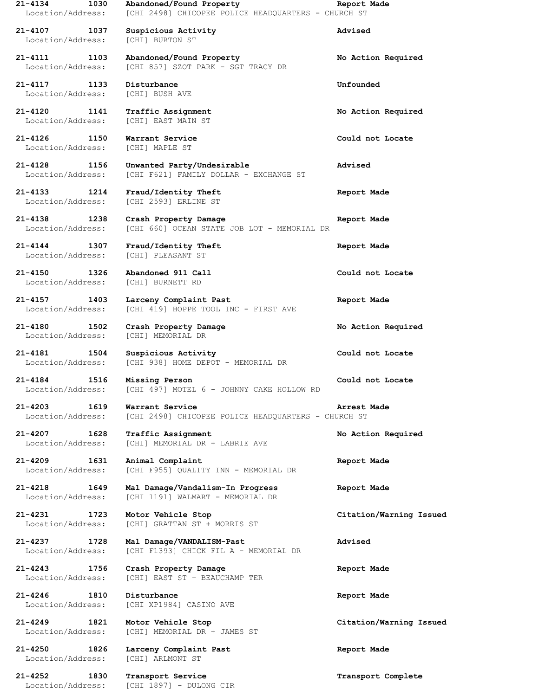| 21-4134<br>1030<br>Location/Address:     | Abandoned/Found Property<br>[CHI 2498] CHICOPEE POLICE HEADQUARTERS - CHURCH ST | Report Made             |
|------------------------------------------|---------------------------------------------------------------------------------|-------------------------|
| 21-4107<br>1037<br>Location/Address:     | Suspicious Activity<br>[CHI] BURTON ST                                          | Advised                 |
| 21-4111<br>1103<br>Location/Address:     | Abandoned/Found Property<br>[CHI 857] SZOT PARK - SGT TRACY DR                  | No Action Required      |
| 21-4117<br>1133<br>Location/Address:     | Disturbance<br>[CHI] BUSH AVE                                                   | Unfounded               |
| 21-4120<br>1141<br>Location/Address:     | Traffic Assignment<br>[CHI] EAST MAIN ST                                        | No Action Required      |
| 21-4126<br>1150<br>Location/Address:     | Warrant Service<br>[CHI] MAPLE ST                                               | Could not Locate        |
| 21-4128<br>1156<br>Location/Address:     | Unwanted Party/Undesirable<br>[CHI F621] FAMILY DOLLAR - EXCHANGE ST            | Advised                 |
| 21-4133<br>1214<br>Location/Address:     | Fraud/Identity Theft<br>[CHI 2593] ERLINE ST                                    | Report Made             |
| 21-4138<br>1238<br>Location/Address:     | Crash Property Damage<br>[CHI 660] OCEAN STATE JOB LOT - MEMORIAL DR            | Report Made             |
| $21 - 4144$<br>1307<br>Location/Address: | Fraud/Identity Theft<br>[CHI] PLEASANT ST                                       | Report Made             |
| 1326<br>21-4150<br>Location/Address:     | Abandoned 911 Call<br>[CHI] BURNETT RD                                          | Could not Locate        |
| 21-4157<br>1403<br>Location/Address:     | Larceny Complaint Past<br>[CHI 419] HOPPE TOOL INC - FIRST AVE                  | Report Made             |
| 21-4180<br>1502<br>Location/Address:     | Crash Property Damage<br>[CHI] MEMORIAL DR                                      | No Action Required      |
| 21-4181<br>1504<br>Location/Address:     | Suspicious Activity<br>[CHI 938] HOME DEPOT - MEMORIAL DR                       | Could not Locate        |
| 21-4184<br>1516<br>Location/Address:     | Missing Person<br>[CHI 497] MOTEL 6 - JOHNNY CAKE HOLLOW RD                     | Could not Locate        |
| 21-4203<br>1619<br>Location/Address:     | Warrant Service<br>[CHI 2498] CHICOPEE POLICE HEADOUARTERS - CHURCH ST          | Arrest Made             |
| 21-4207<br>1628<br>Location/Address:     | Traffic Assignment<br>[CHI] MEMORIAL DR + LABRIE AVE                            | No Action Required      |
| $21 - 4209$<br>1631<br>Location/Address: | Animal Complaint<br>[CHI F955] QUALITY INN - MEMORIAL DR                        | Report Made             |
| 21-4218<br>1649<br>Location/Address:     | Mal Damage/Vandalism-In Progress<br>[CHI 1191] WALMART - MEMORIAL DR            | Report Made             |
| 21-4231<br>1723<br>Location/Address:     | Motor Vehicle Stop<br>[CHI] GRATTAN ST + MORRIS ST                              | Citation/Warning Issued |
| 21-4237<br>1728<br>Location/Address:     | Mal Damage/VANDALISM-Past<br>[CHI F1393] CHICK FIL A - MEMORIAL DR              | Advised                 |
| 21-4243<br>1756<br>Location/Address:     | Crash Property Damage<br>[CHI] EAST ST + BEAUCHAMP TER                          | Report Made             |
| 21-4246 1810<br>Location/Address:        | Disturbance<br>[CHI XP1984] CASINO AVE                                          | Report Made             |
| $21 - 4249$<br>1821<br>Location/Address: | Motor Vehicle Stop<br>[CHI] MEMORIAL DR + JAMES ST                              | Citation/Warning Issued |
| $21 - 4250$<br>1826<br>Location/Address: | Larceny Complaint Past<br>[CHI] ARLMONT ST                                      | Report Made             |
| $21 - 4252$<br>1830<br>Location/Address: | Transport Service<br>[CHI 1897] - DULONG CIR                                    | Transport Complete      |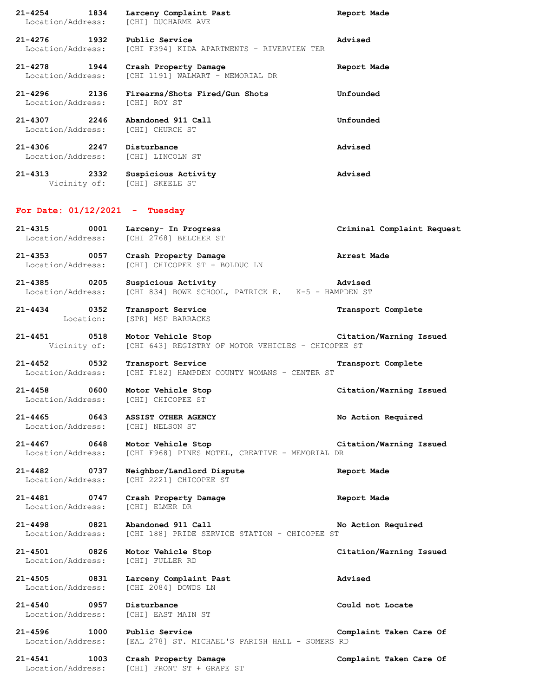| $21 - 4254$                                    | 1834 | Larceny Complaint Past<br>Location/Address: [CHI] DUCHARME AVE                         | Report Made                |
|------------------------------------------------|------|----------------------------------------------------------------------------------------|----------------------------|
| 21-4276 1932                                   |      | Public Service<br>Location/Address: [CHI F394] KIDA APARTMENTS - RIVERVIEW TER         | Advised                    |
| 21-4278 1944                                   |      | Crash Property Damage<br>Location/Address: [CHI 1191] WALMART - MEMORIAL DR            | Report Made                |
| 21-4296 2136<br>Location/Address: [CHI] ROY ST |      | Firearms/Shots Fired/Gun Shots                                                         | Unfounded                  |
| $21 - 4307$ 2246                               |      | Abandoned 911 Call<br>Location/Address: [CHI] CHURCH ST                                | Unfounded                  |
| 21-4306 2247                                   |      | Disturbance<br>Location/Address: [CHI] LINCOLN ST                                      | Advised                    |
| $21 - 4313$                                    | 2332 | Suspicious Activity<br>Vicinity of: [CHI] SKEELE ST                                    | Advised                    |
| For Date: $01/12/2021$ - Tuesday               |      |                                                                                        |                            |
| 21-4315 0001                                   |      | Larceny- In Progress<br>Location/Address: [CHI 2768] BELCHER ST                        | Criminal Complaint Request |
| 21-4353 0057<br>Location/Address:              |      | Crash Property Damage<br>[CHI] CHICOPEE ST + BOLDUC LN                                 | Arrest Made                |
| 21-4385 0205<br>Location/Address:              |      | Suspicious Activity<br>Advised<br>[CHI 834] BOWE SCHOOL, PATRICK E. K-5 - HAMPDEN ST   |                            |
| $21 - 4434$                                    | 0352 | Transport Service<br>Location: [SPR] MSP BARRACKS                                      | Transport Complete         |
| $21 - 4451$                                    | 0518 | Motor Vehicle Stop<br>Vicinity of: [CHI 643] REGISTRY OF MOTOR VEHICLES - CHICOPEE ST  | Citation/Warning Issued    |
| 21-4452 0532                                   |      | Transport Service<br>Location/Address: [CHI F182] HAMPDEN COUNTY WOMANS - CENTER ST    | Transport Complete         |
| 21-4458 0600                                   |      | Motor Vehicle Stop<br>Location/Address: [CHI] CHICOPEE ST                              | Citation/Warning Issued    |
| $21 - 4465$                                    | 0643 | ASSIST OTHER AGENCY<br>Location/Address: [CHI] NELSON ST                               | No Action Required         |
| $21 - 4467$                                    | 0648 | Motor Vehicle Stop<br>Location/Address: [CHI F968] PINES MOTEL, CREATIVE - MEMORIAL DR | Citation/Warning Issued    |
| 21-4482 0737<br>Location/Address:              |      | Neighbor/Landlord Dispute<br>[CHI 2221] CHICOPEE ST                                    | Report Made                |
| $21 - 4481$<br>Location/Address:               | 0747 | Crash Property Damage<br>[CHI] ELMER DR                                                | Report Made                |
| $21 - 4498$<br>Location/Address:               | 0821 | Abandoned 911 Call<br>[CHI 188] PRIDE SERVICE STATION - CHICOPEE ST                    | No Action Required         |
| 21-4501 0826                                   |      | Motor Vehicle Stop<br>Location/Address: [CHI] FULLER RD                                | Citation/Warning Issued    |
| $21 - 4505$<br>Location/Address:               | 0831 | Larceny Complaint Past<br>[CHI 2084] DOWDS LN                                          | Advised                    |
| $21 - 4540$<br>Location/Address:               | 0957 | Disturbance<br>[CHI] EAST MAIN ST                                                      | Could not Locate           |
| $21 - 4596$                                    | 1000 | Public Service<br>Location/Address: [EAL 278] ST. MICHAEL'S PARISH HALL - SOMERS RD    | Complaint Taken Care Of    |
| $21 - 4541$<br>Location/Address:               | 1003 | Crash Property Damage<br>[CHI] FRONT ST + GRAPE ST                                     | Complaint Taken Care Of    |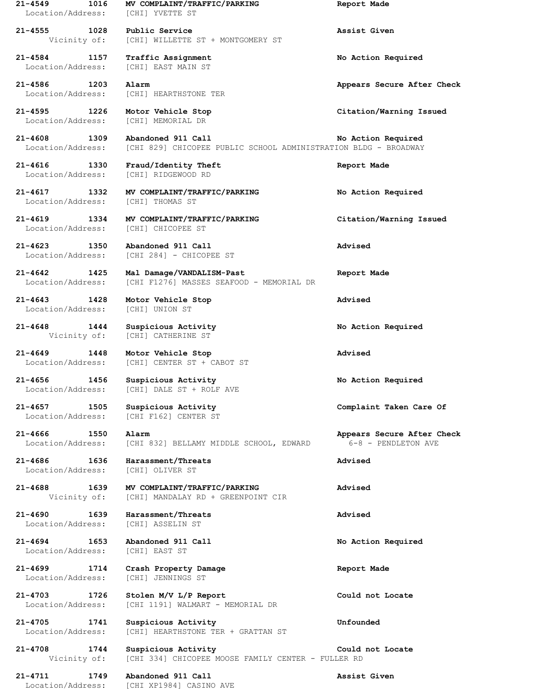| $21 - 4549$<br>1016<br>Location/Address: | MV COMPLAINT/TRAFFIC/PARKING<br>[CHI] YVETTE ST                                       | Report Made                                       |
|------------------------------------------|---------------------------------------------------------------------------------------|---------------------------------------------------|
| 1028<br>21-4555<br>Vicinity of:          | Public Service<br>[CHI] WILLETTE ST + MONTGOMERY ST                                   | Assist Given                                      |
| $21 - 4584$<br>1157<br>Location/Address: | Traffic Assignment<br>[CHI] EAST MAIN ST                                              | No Action Required                                |
| 21-4586<br>1203<br>Location/Address:     | Alarm<br>[CHI] HEARTHSTONE TER                                                        | Appears Secure After Check                        |
| $21 - 4595$<br>1226<br>Location/Address: | Motor Vehicle Stop<br>[CHI] MEMORIAL DR                                               | Citation/Warning Issued                           |
| $21 - 4608$<br>1309<br>Location/Address: | Abandoned 911 Call<br>[CHI 829] CHICOPEE PUBLIC SCHOOL ADMINISTRATION BLDG - BROADWAY | No Action Required                                |
| 21-4616<br>1330<br>Location/Address:     | Fraud/Identity Theft<br>[CHI] RIDGEWOOD RD                                            | Report Made                                       |
| 21-4617 1332<br>Location/Address:        | MV COMPLAINT/TRAFFIC/PARKING<br>[CHI] THOMAS ST                                       | No Action Required                                |
| $21 - 4619$<br>1334<br>Location/Address: | MV COMPLAINT/TRAFFIC/PARKING<br>[CHI] CHICOPEE ST                                     | Citation/Warning Issued                           |
| $21 - 4623$<br>1350<br>Location/Address: | Abandoned 911 Call<br>[CHI 284] - CHICOPEE ST                                         | Advised                                           |
| $21 - 4642$<br>1425<br>Location/Address: | Mal Damage/VANDALISM-Past<br>[CHI F1276] MASSES SEAFOOD - MEMORIAL DR                 | Report Made                                       |
| $21 - 4643$<br>1428<br>Location/Address: | Motor Vehicle Stop<br>[CHI] UNION ST                                                  | Advised                                           |
| $21 - 4648$<br>1444<br>Vicinity of:      | Suspicious Activity<br>[CHI] CATHERINE ST                                             | No Action Required                                |
| $21 - 4649$<br>1448<br>Location/Address: | Motor Vehicle Stop<br>[CHI] CENTER ST + CABOT ST                                      | Advised                                           |
| 21-4656<br>1456<br>Location/Address:     | Suspicious Activity<br>[CHI] DALE ST + ROLF AVE                                       | No Action Required                                |
| 21-4657 1505<br>Location/Address:        | Suspicious Activity<br>[CHI F162] CENTER ST                                           | Complaint Taken Care Of                           |
| 21-4666 1550<br>Location/Address:        | Alarm<br>[CHI 832] BELLAMY MIDDLE SCHOOL, EDWARD                                      | Appears Secure After Check<br>6-8 - PENDLETON AVE |
| 21-4686<br>1636<br>Location/Address:     | Harassment/Threats<br>[CHI] OLIVER ST                                                 | Advised                                           |
| 21-4688<br>1639<br>Vicinity of:          | MV COMPLAINT/TRAFFIC/PARKING<br>[CHI] MANDALAY RD + GREENPOINT CIR                    | Advised                                           |
| $21 - 4690$<br>1639<br>Location/Address: | Harassment/Threats<br>[CHI] ASSELIN ST                                                | Advised                                           |
| 21-4694<br>1653<br>Location/Address:     | Abandoned 911 Call<br>[CHI] EAST ST                                                   | No Action Required                                |
| $21 - 4699$<br>1714<br>Location/Address: | Crash Property Damage<br>[CHI] JENNINGS ST                                            | Report Made                                       |
| 21-4703<br>1726<br>Location/Address:     | Stolen M/V L/P Report<br>[CHI 1191] WALMART - MEMORIAL DR                             | Could not Locate                                  |
| 21-4705<br>1741<br>Location/Address:     | Suspicious Activity<br>[CHI] HEARTHSTONE TER + GRATTAN ST                             | Unfounded                                         |
| 21-4708<br>1744<br>Vicinity of:          | Suspicious Activity<br>[CHI 334] CHICOPEE MOOSE FAMILY CENTER - FULLER RD             | Could not Locate                                  |
| $21 - 4711$<br>1749<br>Location/Address: | Abandoned 911 Call<br>[CHI XP1984] CASINO AVE                                         | Assist Given                                      |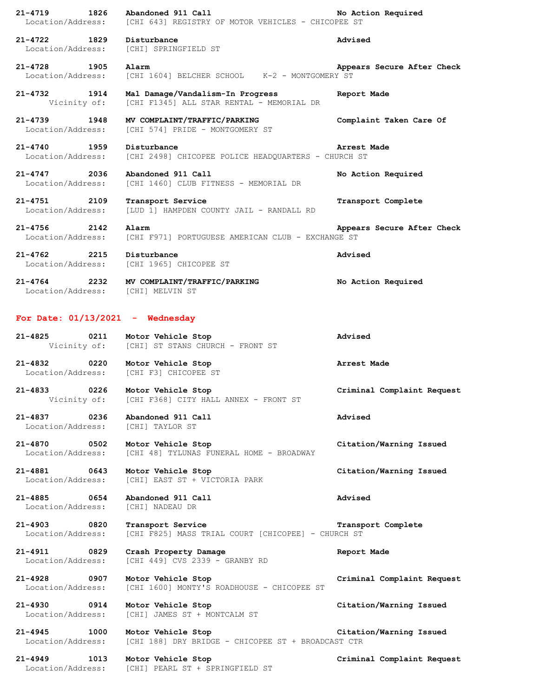| 21-4719<br>1826<br>Location/Address:                                 | Abandoned 911 Call<br>[CHI 643] REGISTRY OF MOTOR VEHICLES - CHICOPEE ST       | No Action Required         |
|----------------------------------------------------------------------|--------------------------------------------------------------------------------|----------------------------|
| 21-4722 1829<br>Location/Address:                                    | Disturbance<br>[CHI] SPRINGFIELD ST                                            | Advised                    |
| 21-4728 1905<br>Location/Address:                                    | Alarm<br>[CHI 1604] BELCHER SCHOOL K-2 - MONTGOMERY ST                         | Appears Secure After Check |
| 21-4732 1914<br>Vicinity of:                                         | Mal Damage/Vandalism-In Progress<br>[CHI F1345] ALL STAR RENTAL - MEMORIAL DR  | Report Made                |
| 21-4739 1948<br>Location/Address:                                    | MV COMPLAINT/TRAFFIC/PARKING<br>[CHI 574] PRIDE - MONTGOMERY ST                | Complaint Taken Care Of    |
| 21-4740 1959<br>Location/Address:                                    | Disturbance<br>[CHI 2498] CHICOPEE POLICE HEADQUARTERS - CHURCH ST             | Arrest Made                |
| 21-4747 2036<br>Location/Address:                                    | Abandoned 911 Call<br>[CHI 1460] CLUB FITNESS - MEMORIAL DR                    | No Action Required         |
| 21-4751 2109<br>Location/Address:                                    | Transport Service<br>[LUD 1] HAMPDEN COUNTY JAIL - RANDALL RD                  | Transport Complete         |
| $21 - 4756$ 2142<br>Location/Address:                                | Alarm<br>[CHI F971] PORTUGUESE AMERICAN CLUB - EXCHANGE ST                     | Appears Secure After Check |
| 21-4762 2215<br>Location/Address:                                    | Disturbance<br>[CHI 1965] CHICOPEE ST                                          | Advised                    |
|                                                                      | 21-4764 2232 MV COMPLAINT/TRAFFIC/PARKING<br>Location/Address: [CHI] MELVIN ST | No Action Required         |
| For Date: $01/13/2021$ - Wednesday                                   |                                                                                |                            |
| 21-4825 0211                                                         | Motor Vehicle Stop<br>Vicinity of: [CHI] ST STANS CHURCH - FRONT ST            | Advised                    |
| 21-4832 0220 Motor Vehicle Stop                                      | Location/Address: [CHI F3] CHICOPEE ST                                         | Arrest Made                |
| 21-4833 0226                                                         | Motor Vehicle Stop<br>Vicinity of: [CHI F368] CITY HALL ANNEX - FRONT ST       | Criminal Complaint Request |
| 21-4837 0236 Abandoned 911 Call<br>Location/Address: [CHI] TAYLOR ST |                                                                                | Advised                    |
| 21-4870 0502<br>Location/Address:                                    | Motor Vehicle Stop<br>[CHI 48] TYLUNAS FUNERAL HOME - BROADWAY                 | Citation/Warning Issued    |
| 21-4881 0643<br>Location/Address:                                    | Motor Vehicle Stop<br>[CHI] EAST ST + VICTORIA PARK                            | Citation/Warning Issued    |
| 21-4885 0654<br>Location/Address:                                    | Abandoned 911 Call<br>[CHI] NADEAU DR                                          | Advised                    |
| 21-4903 0820<br>Location/Address:                                    | Transport Service<br>[CHI F825] MASS TRIAL COURT [CHICOPEE] - CHURCH ST        | Transport Complete         |
| 21-4911 0829<br>Location/Address:                                    | Crash Property Damage<br>[CHI 449] CVS 2339 - GRANBY RD                        | Report Made                |
| 21-4928 0907<br>Location/Address:                                    | Motor Vehicle Stop<br>[CHI 1600] MONTY'S ROADHOUSE - CHICOPEE ST               | Criminal Complaint Request |
| 21-4930 0914<br>Location/Address:                                    | Motor Vehicle Stop<br>[CHI] JAMES ST + MONTCALM ST                             | Citation/Warning Issued    |
| 21-4945 1000<br>Location/Address:                                    | Motor Vehicle Stop<br>[CHI 188] DRY BRIDGE - CHICOPEE ST + BROADCAST CTR       | Citation/Warning Issued    |
| 21-4949 1013<br>Location/Address:                                    | Motor Vehicle Stop<br>[CHI] PEARL ST + SPRINGFIELD ST                          | Criminal Complaint Request |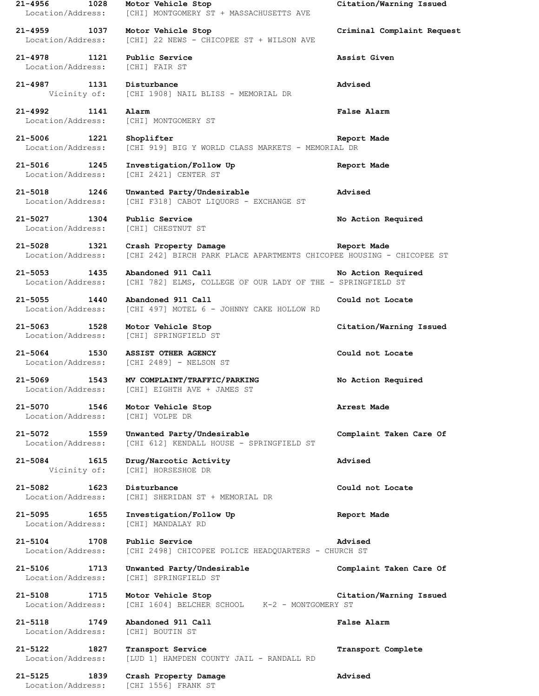**21-4956 1028 Motor Vehicle Stop Citation/Warning Issued** Location/Address: [CHI] MONTGOMERY ST + MASSACHUSETTS AVE **21-4959 1037 Motor Vehicle Stop Criminal Complaint Request** Location/Address: [CHI] 22 NEWS - CHICOPEE ST + WILSON AVE **21-4978 1121 Public Service Assist Given** Location/Address: [CHI] FAIR ST **21-4987 1131 Disturbance Advised** Vicinity of: [CHI 1908] NAIL BLISS - MEMORIAL DR **21-4992 1141 Alarm False Alarm** Location/Address: [CHI] MONTGOMERY ST **21-5006 1221 Shoplifter Report Made** Location/Address: [CHI 919] BIG Y WORLD CLASS MARKETS - MEMORIAL DR **21-5016 1245 Investigation/Follow Up Report Made** Location/Address: [CHI 2421] CENTER ST **21-5018 1246 Unwanted Party/Undesirable Advised** Location/Address: [CHI F318] CABOT LIQUORS - EXCHANGE ST **21-5027 1304 Public Service No Action Required** Location/Address: [CHI] CHESTNUT ST **21-5028 1321 Crash Property Damage Report Made** Location/Address: [CHI 242] BIRCH PARK PLACE APARTMENTS CHICOPEE HOUSING - CHICOPEE ST **21-5053 1435 Abandoned 911 Call No Action Required** Location/Address: [CHI 782] ELMS, COLLEGE OF OUR LADY OF THE - SPRINGFIELD ST **21-5055 1440 Abandoned 911 Call Could not Locate** Location/Address: [CHI 497] MOTEL 6 - JOHNNY CAKE HOLLOW RD **21-5063 1528 Motor Vehicle Stop Citation/Warning Issued** Location/Address: [CHI] SPRINGFIELD ST **21-5064 1530 ASSIST OTHER AGENCY Could not Locate** Location/Address: [CHI 2489] - NELSON ST **21-5069 1543 MV COMPLAINT/TRAFFIC/PARKING No Action Required** Location/Address: [CHI] EIGHTH AVE + JAMES ST **21-5070 1546 Motor Vehicle Stop Arrest Made** Location/Address: [CHI] VOLPE DR **21-5072 1559 Unwanted Party/Undesirable Complaint Taken Care Of** Location/Address: [CHI 612] KENDALL HOUSE - SPRINGFIELD ST **21-5084 1615 Drug/Narcotic Activity Advised** Vicinity of: [CHI] HORSESHOE DR **21-5082 1623 Disturbance Could not Locate** Location/Address: [CHI] SHERIDAN ST + MEMORIAL DR **21-5095 1655 Investigation/Follow Up Report Made** Location/Address: [CHI] MANDALAY RD **21-5104 1708 Public Service Advised** Location/Address: [CHI 2498] CHICOPEE POLICE HEADQUARTERS - CHURCH ST **21-5106 1713 Unwanted Party/Undesirable Complaint Taken Care Of** Location/Address: [CHI] SPRINGFIELD ST **21-5108 1715 Motor Vehicle Stop Citation/Warning Issued** Location/Address: [CHI 1604] BELCHER SCHOOL K-2 - MONTGOMERY ST **21-5118 1749 Abandoned 911 Call False Alarm** Location/Address: [CHI] BOUTIN ST **21-5122 1827 Transport Service Transport Complete** Location/Address: [LUD 1] HAMPDEN COUNTY JAIL - RANDALL RD **21-5125 1839 Crash Property Damage Advised** Location/Address: [CHI 1556] FRANK ST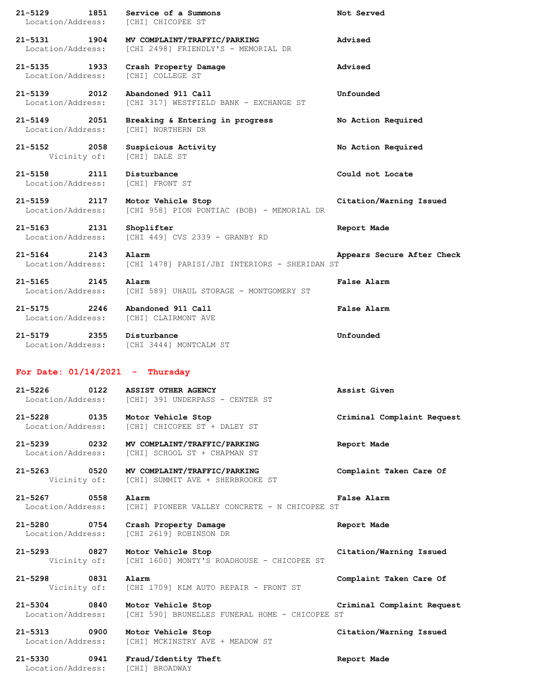| 21-5129<br>1851<br>Location/Address: [CHI] CHICOPEE ST | Service of a Summons                                                 | Not Served                 |
|--------------------------------------------------------|----------------------------------------------------------------------|----------------------------|
| 21-5131 1904<br>Location/Address:                      | MV COMPLAINT/TRAFFIC/PARKING<br>[CHI 2498] FRIENDLY'S - MEMORIAL DR  | Advised                    |
| 21-5135 1933<br>Location/Address:                      | Crash Property Damage<br>[CHI] COLLEGE ST                            | Advised                    |
| 21-5139 2012<br>Location/Address:                      | Abandoned 911 Call<br>[CHI 317] WESTFIELD BANK - EXCHANGE ST         | Unfounded                  |
| 21-5149 2051<br>Location/Address:                      | Breaking & Entering in progress<br>[CHI] NORTHERN DR                 | No Action Required         |
| 21-5152 2058<br>Vicinity of:                           | Suspicious Activity<br>[CHI] DALE ST                                 | No Action Required         |
| $21 - 5158$<br>2111<br>Location/Address:               | Disturbance<br>[CHI] FRONT ST                                        | Could not Locate           |
| 21-5159 2117<br>Location/Address:                      | Motor Vehicle Stop<br>[CHI 958] PION PONTIAC (BOB) - MEMORIAL DR     | Citation/Warning Issued    |
| 21-5163 2131<br>Location/Address:                      | Shoplifter<br>[CHI 449] CVS 2339 - GRANBY RD                         | Report Made                |
| 21-5164 2143<br>Location/Address:                      | Alarm<br>[CHI 1478] PARISI/JBI INTERIORS - SHERIDAN ST               | Appears Secure After Check |
| 21-5165 2145<br>Location/Address:                      | Alarm<br>[CHI 589] UHAUL STORAGE - MONTGOMERY ST                     | <b>False Alarm</b>         |
| 21-5175 2246<br>Location/Address: [CHI] CLAIRMONT AVE  | Abandoned 911 Call                                                   | False Alarm                |
| 21-5179 2355 Disturbance                               | Location/Address: [CHI 3444] MONTCALM ST                             | Unfounded                  |
| For Date: $01/14/2021$ - Thursday                      |                                                                      |                            |
| $21 - 5226$<br>0122<br>Location/Address:               | ASSIST OTHER AGENCY<br>[CHI] 391 UNDERPASS - CENTER ST               | Assist Given               |
| 21-5228 0135<br>Location/Address:                      | Motor Vehicle Stop<br>[CHI] CHICOPEE ST + DALEY ST                   | Criminal Complaint Request |
| 21–5239 0232<br>Location/Address:                      | MV COMPLAINT/TRAFFIC/PARKING<br>[CHI] SCHOOL ST + CHAPMAN ST         | Report Made                |
| 21-5263 0520<br>Vicinity of:                           | MV COMPLAINT/TRAFFIC/PARKING<br>[CHI] SUMMIT AVE + SHERBROOKE ST     | Complaint Taken Care Of    |
| 21-5267 0558<br>Location/Address:                      | Alarm<br>[CHI] PIONEER VALLEY CONCRETE - N CHICOPEE ST               | False Alarm                |
| 21-5280 0754<br>Location/Address:                      | Crash Property Damage<br>[CHI 2619] ROBINSON DR                      | Report Made                |
| 21-5293 0827<br>Vicinity of:                           | Motor Vehicle Stop<br>[CHI 1600] MONTY'S ROADHOUSE - CHICOPEE ST     | Citation/Warning Issued    |
| 21-5298<br>0831<br>Vicinity of:                        | Alarm<br>[CHI 1709] KLM AUTO REPAIR - FRONT ST                       | Complaint Taken Care Of    |
| 21-5304 0840<br>Location/Address:                      | Motor Vehicle Stop<br>[CHI 590] BRUNELLES FUNERAL HOME - CHICOPEE ST | Criminal Complaint Request |
|                                                        |                                                                      |                            |
| $\sim$ 0900<br>21-5313<br>Location/Address:            | Motor Vehicle Stop<br>[CHI] MCKINSTRY AVE + MEADOW ST                | Citation/Warning Issued    |

Location/Address: [CHI] BROADWAY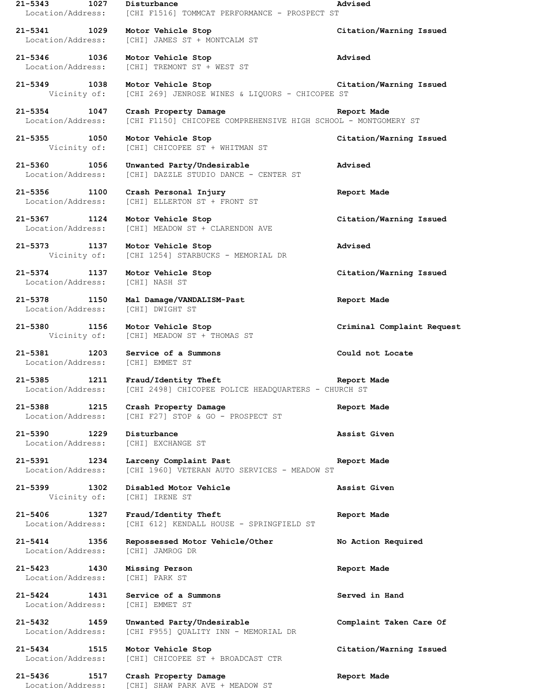| $21 - 5343$<br>1027                             | Disturbance<br>Location/Address: [CHI F1516] TOMMCAT PERFORMANCE - PROSPECT ST           | Advised                    |
|-------------------------------------------------|------------------------------------------------------------------------------------------|----------------------------|
| 21-5341 1029                                    | Motor Vehicle Stop<br>Location/Address: [CHI] JAMES ST + MONTCALM ST                     | Citation/Warning Issued    |
| 21-5346 1036<br>Location/Address:               | Motor Vehicle Stop<br>[CHI] TREMONT ST + WEST ST                                         | Advised                    |
| 21-5349 1038                                    | Motor Vehicle Stop<br>Vicinity of: [CHI 269] JENROSE WINES & LIQUORS - CHICOPEE ST       | Citation/Warning Issued    |
| 21-5354 1047<br>Location/Address:               | Crash Property Damage<br>[CHI F1150] CHICOPEE COMPREHENSIVE HIGH SCHOOL - MONTGOMERY ST  | Report Made                |
| 21-5355 1050<br>Vicinity of:                    | Motor Vehicle Stop<br>[CHI] CHICOPEE ST + WHITMAN ST                                     | Citation/Warning Issued    |
| 21-5360 1056<br>Location/Address:               | Unwanted Party/Undesirable<br>[CHI] DAZZLE STUDIO DANCE - CENTER ST                      | Advised                    |
| 21-5356 1100<br>Location/Address:               | Crash Personal Injury<br>[CHI] ELLERTON ST + FRONT ST                                    | Report Made                |
| 21-5367 1124                                    | Motor Vehicle Stop<br>Location/Address: [CHI] MEADOW ST + CLARENDON AVE                  | Citation/Warning Issued    |
| 21-5373 1137 Motor Vehicle Stop                 | Vicinity of: [CHI 1254] STARBUCKS - MEMORIAL DR                                          | Advised                    |
| 21-5374 1137<br>Location/Address: [CHI] NASH ST | Motor Vehicle Stop                                                                       | Citation/Warning Issued    |
| 21-5378 1150<br>Location/Address:               | Mal Damage/VANDALISM-Past<br>[CHI] DWIGHT ST                                             | Report Made                |
| 21-5380 1156                                    | Motor Vehicle Stop<br>Vicinity of: [CHI] MEADOW ST + THOMAS ST                           | Criminal Complaint Request |
| 21-5381 1203<br>Location/Address:               | Service of a Summons<br>[CHI] EMMET ST                                                   | Could not Locate           |
| Location/Address:                               | 21-5385 1211 Fraud/Identity Theft<br>[CHI 2498] CHICOPEE POLICE HEADQUARTERS - CHURCH ST | Report Made                |
| 21-5388 1215<br>Location/Address:               | Crash Property Damage<br>[CHI F27] STOP & GO - PROSPECT ST                               | Report Made                |
| 21-5390<br>1229<br>Location/Address:            | Disturbance<br>[CHI] EXCHANGE ST                                                         | Assist Given               |
| 21-5391 1234<br>Location/Address:               | Larceny Complaint Past<br>[CHI 1960] VETERAN AUTO SERVICES - MEADOW ST                   | Report Made                |
| 21-5399<br>1302                                 | Disabled Motor Vehicle<br>Vicinity of: [CHI] IRENE ST                                    | Assist Given               |
| $21 - 5406$<br>1327<br>Location/Address:        | Fraud/Identity Theft<br>[CHI 612] KENDALL HOUSE - SPRINGFIELD ST                         | Report Made                |
| 21-5414 1356<br>Location/Address:               | Repossessed Motor Vehicle/Other<br>[CHI] JAMROG DR                                       | No Action Required         |
| $21 - 5423$<br>1430<br>Location/Address:        | Missing Person<br>[CHI] PARK ST                                                          | Report Made                |
| $21 - 5424$<br>1431<br>Location/Address:        | Service of a Summons<br>[CHI] EMMET ST                                                   | Served in Hand             |
| 21-5432 1459<br>Location/Address:               | Unwanted Party/Undesirable<br>[CHI F955] QUALITY INN - MEMORIAL DR                       | Complaint Taken Care Of    |
| 21-5434<br>1515<br>Location/Address:            | Motor Vehicle Stop<br>[CHI] CHICOPEE ST + BROADCAST CTR                                  | Citation/Warning Issued    |
| 21-5436<br>1517<br>Location/Address:            | Crash Property Damage<br>[CHI] SHAW PARK AVE + MEADOW ST                                 | Report Made                |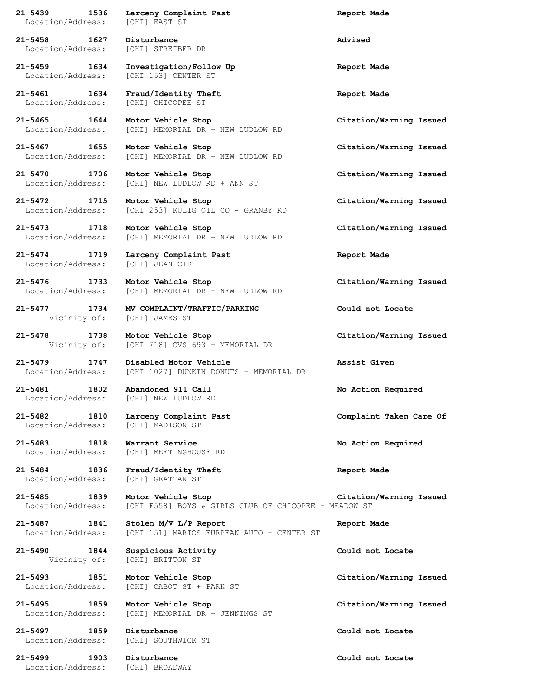**21-5439 1536 Larceny Complaint Past Report Made** Location/Address: [CHI] EAST ST **21-5458 1627 Disturbance Advised** Location/Address: [CHI] STREIBER DR **21-5459 1634 Investigation/Follow Up Report Made** Location/Address: [CHI 153] CENTER ST **21-5461 1634 Fraud/Identity Theft Report Made** Location/Address: [CHI] CHICOPEE ST **21-5465 1644 Motor Vehicle Stop Citation/Warning Issued** Location/Address: [CHI] MEMORIAL DR + NEW LUDLOW RD **21-5467 1655 Motor Vehicle Stop Citation/Warning Issued** Location/Address: [CHI] MEMORIAL DR + NEW LUDLOW RD **21-5470 1706 Motor Vehicle Stop Citation/Warning Issued** Location/Address: [CHI] NEW LUDLOW RD + ANN ST **21-5472 1715 Motor Vehicle Stop Citation/Warning Issued** Location/Address: [CHI 253] KULIG OIL CO - GRANBY RD **21-5473 1718 Motor Vehicle Stop Citation/Warning Issued** Location/Address: [CHI] MEMORIAL DR + NEW LUDLOW RD **21-5474 1719 Larceny Complaint Past Report Made** Location/Address: [CHI] JEAN CIR **21-5476 1733 Motor Vehicle Stop Citation/Warning Issued** Location/Address: [CHI] MEMORIAL DR + NEW LUDLOW RD **21-5477 1734 MV COMPLAINT/TRAFFIC/PARKING Could not Locate** Vicinity of: [CHI] JAMES ST **21-5478 1738 Motor Vehicle Stop Citation/Warning Issued** Vicinity of: [CHI 718] CVS 693 - MEMORIAL DR **21-5479 1747 Disabled Motor Vehicle Assist Given** Location/Address: [CHI 1027] DUNKIN DONUTS - MEMORIAL DR **21-5481 1802 Abandoned 911 Call No Action Required** Location/Address: [CHI] NEW LUDLOW RD **21-5482 1810 Larceny Complaint Past Complaint Taken Care Of** Location/Address: [CHI] MADISON ST **21-5483 1818 Warrant Service No Action Required** Location/Address: [CHI] MEETINGHOUSE RD **21-5484 1836 Fraud/Identity Theft Report Made** Location/Address: [CHI] GRATTAN ST **21-5485 1839 Motor Vehicle Stop Citation/Warning Issued** Location/Address: [CHI F558] BOYS & GIRLS CLUB OF CHICOPEE - MEADOW ST **21-5487 1841 Stolen M/V L/P Report Report Made** Location/Address: [CHI 151] MARIOS EURPEAN AUTO - CENTER ST **21-5490 1844 Suspicious Activity Could not Locate** Vicinity of: [CHI] BRITTON ST **21-5493 1851 Motor Vehicle Stop Citation/Warning Issued** Location/Address: [CHI] CABOT ST + PARK ST **21-5495 1859 Motor Vehicle Stop Citation/Warning Issued** Location/Address: [CHI] MEMORIAL DR + JENNINGS ST **21-5497 1859 Disturbance Could not Locate** Location/Address: [CHI] SOUTHWICK ST **21-5499 1903 Disturbance Could not Locate** Location/Address: [CHI] BROADWAY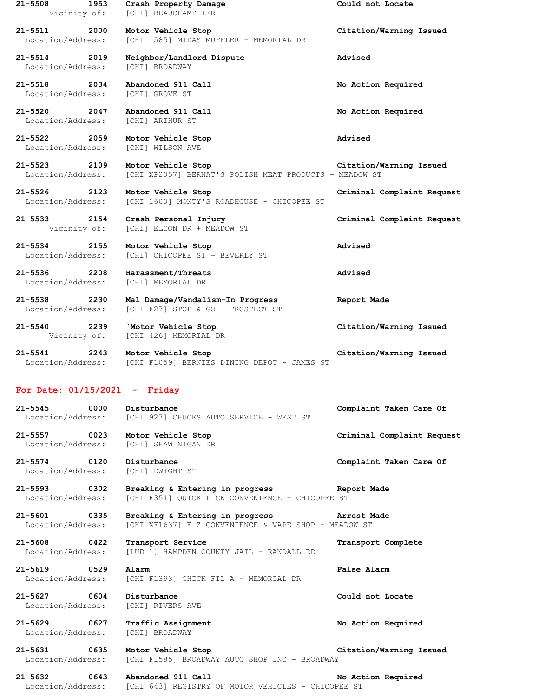**21-5508 1953 Crash Property Damage Could not Locate** Vicinity of: [CHI] BEAUCHAMP TER **21-5511 2000 Motor Vehicle Stop Citation/Warning Issued** Location/Address: [CHI 1585] MIDAS MUFFLER - MEMORIAL DR **21-5514 2019 Neighbor/Landlord Dispute Advised** Location/Address: [CHI] BROADWAY **21-5518 2034 Abandoned 911 Call No Action Required** Location/Address: [CHI] GROVE ST **21-5520 2047 Abandoned 911 Call No Action Required** Location/Address: **21-5522 2059 Motor Vehicle Stop Advised** Location/Address: [CHI] WILSON AVE **21-5523 2109 Motor Vehicle Stop Citation/Warning Issued** Location/Address: [CHI XP2057] BERNAT'S POLISH MEAT PRODUCTS - MEADOW ST **21-5526 2123 Motor Vehicle Stop Criminal Complaint Request** Location/Address: [CHI 1600] MONTY'S ROADHOUSE - CHICOPEE ST **21-5533 2154 Crash Personal Injury Criminal Complaint Request** Vicinity of: [CHI] ELCON DR + MEADOW ST **21-5534 2155 Motor Vehicle Stop Advised** Location/Address: [CHI] CHICOPEE ST + BEVERLY ST **21-5536 2208 Harassment/Threats Advised** Location/Address: [CHI] MEMORIAL DR **21-5538 2230 Mal Damage/Vandalism-In Progress Report Made** Location/Address: [CHI F27] STOP & GO - PROSPECT ST **21-5540 2239 `Motor Vehicle Stop Citation/Warning Issued** Vicinity of: [CHI 426] MEMORIAL DR **21-5541 2243 Motor Vehicle Stop Citation/Warning Issued** Location/Address: [CHI F1059] BERNIES DINING DEPOT - JAMES ST **For Date: 01/15/2021 - Friday 21-5545 0000 Disturbance Complaint Taken Care Of** Location/Address: [CHI 927] CHUCKS AUTO SERVICE - WEST ST **21-5557 0023 Motor Vehicle Stop Criminal Complaint Request**

Location/Address: [CHI] SHAWINIGAN DR

**21-5574 0120 Disturbance Complaint Taken Care Of** Location/Address: [CHI] DWIGHT ST

**21-5593 0302 Breaking & Entering in progress Report Made** Location/Address: [CHI F351] QUICK PICK CONVENIENCE - CHICOPEE ST

**21-5601 0335 Breaking & Entering in progress Arrest Made** Location/Address: [CHI XF1637] E Z CONVENIENCE & VAPE SHOP - MEADOW ST

**21-5608 0422 Transport Service Transport Complete** Location/Address: [LUD 1] HAMPDEN COUNTY JAIL - RANDALL RD

**21-5619 0529 Alarm False Alarm** Location/Address: [CHI F1393] CHICK FIL A - MEMORIAL DR

**21-5627 0604 Disturbance Could not Locate** Location/Address: [CHI] RIVERS AVE

**21-5629 0627 Traffic Assignment No Action Required** Location/Address: [CHI] BROADWAY

**21-5631 0635 Motor Vehicle Stop Citation/Warning Issued** Location/Address: [CHI F1585] BROADWAY AUTO SHOP INC - BROADWAY

**21-5632 0643 Abandoned 911 Call No Action Required** Location/Address: [CHI 643] REGISTRY OF MOTOR VEHICLES - CHICOPEE ST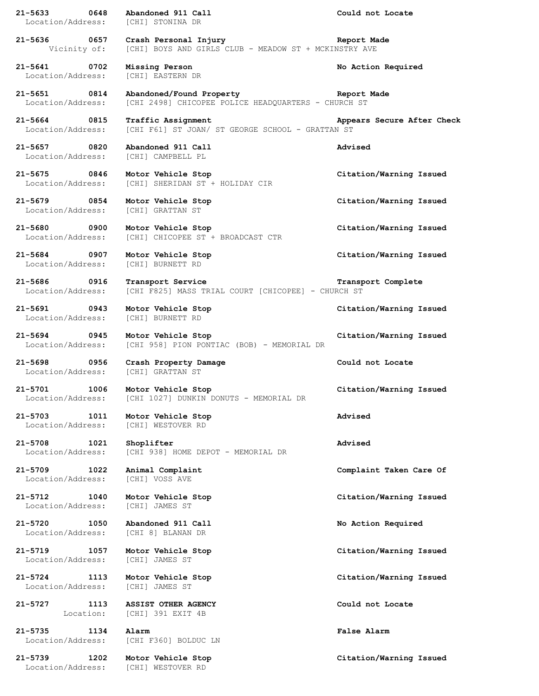| $21 - 5633$<br>0648<br>Location/Address: | Abandoned 911 Call<br>[CHI] STONINA DR                                                          | Could not Locate           |
|------------------------------------------|-------------------------------------------------------------------------------------------------|----------------------------|
| 21-5636 0657                             | Crash Personal Injury<br>Vicinity of: [CHI] BOYS AND GIRLS CLUB - MEADOW ST + MCKINSTRY AVE     | Report Made                |
| 21-5641 0702<br>Location/Address:        | Missing Person<br>[CHI] EASTERN DR                                                              | No Action Required         |
| 21-5651 0814<br>Location/Address:        | Abandoned/Found Property The Report Made<br>[CHI 2498] CHICOPEE POLICE HEADQUARTERS - CHURCH ST |                            |
| 21-5664 0815<br>Location/Address:        | Traffic Assignment<br>[CHI F61] ST JOAN/ ST GEORGE SCHOOL - GRATTAN ST                          | Appears Secure After Check |
| 21-5657 0820<br>Location/Address:        | Abandoned 911 Call<br>[CHI] CAMPBELL PL                                                         | Advised                    |
| 21-5675 0846<br>Location/Address:        | Motor Vehicle Stop<br>[CHI] SHERIDAN ST + HOLIDAY CIR                                           | Citation/Warning Issued    |
| 21-5679 0854<br>Location/Address:        | Motor Vehicle Stop<br>[CHI] GRATTAN ST                                                          | Citation/Warning Issued    |
| 21-5680 0900<br>Location/Address:        | Motor Vehicle Stop<br>[CHI] CHICOPEE ST + BROADCAST CTR                                         | Citation/Warning Issued    |
| 21-5684 0907<br>Location/Address:        | Motor Vehicle Stop<br>[CHI] BURNETT RD                                                          | Citation/Warning Issued    |
| 21-5686 0916<br>Location/Address:        | Transport Service<br>[CHI F825] MASS TRIAL COURT [CHICOPEE] - CHURCH ST                         | Transport Complete         |
| 21-5691 0943<br>Location/Address:        | Motor Vehicle Stop<br>[CHI] BURNETT RD                                                          | Citation/Warning Issued    |
| 21-5694 0945<br>Location/Address:        | Motor Vehicle Stop<br>[CHI 958] PION PONTIAC (BOB) - MEMORIAL DR                                | Citation/Warning Issued    |
| 21-5698 0956<br>Location/Address:        | Crash Property Damage<br>[CHI] GRATTAN ST                                                       | Could not Locate           |
| 21-5701 1006<br>Location/Address:        | Motor Vehicle Stop<br>[CHI 1027] DUNKIN DONUTS - MEMORIAL DR                                    | Citation/Warning Issued    |
| 1011<br>21-5703<br>Location/Address:     | Motor Vehicle Stop<br>[CHI] WESTOVER RD                                                         | Advised                    |
| $21 - 5708$<br>1021<br>Location/Address: | Shoplifter<br>[CHI 938] HOME DEPOT - MEMORIAL DR                                                | Advised                    |
| $21 - 5709$<br>1022<br>Location/Address: | Animal Complaint<br>[CHI] VOSS AVE                                                              | Complaint Taken Care Of    |
| $21 - 5712$<br>1040<br>Location/Address: | Motor Vehicle Stop<br>[CHI] JAMES ST                                                            | Citation/Warning Issued    |
| 21-5720<br>1050<br>Location/Address:     | Abandoned 911 Call<br>[CHI 8] BLANAN DR                                                         | No Action Required         |
| 21-5719<br>1057<br>Location/Address:     | Motor Vehicle Stop<br>[CHI] JAMES ST                                                            | Citation/Warning Issued    |
| $21 - 5724$<br>1113<br>Location/Address: | Motor Vehicle Stop<br>[CHI] JAMES ST                                                            | Citation/Warning Issued    |
| 21-5727<br>1113<br>Location:             | <b>ASSIST OTHER AGENCY</b><br>[CHI] 391 EXIT 4B                                                 | Could not Locate           |
| $21 - 5735$<br>1134<br>Location/Address: | Alarm<br>[CHI F360] BOLDUC LN                                                                   | False Alarm                |
| 1202<br>21-5739                          | Motor Vehicle Stop                                                                              | Citation/Warning Issued    |
| Location/Address:                        | [CHI] WESTOVER RD                                                                               |                            |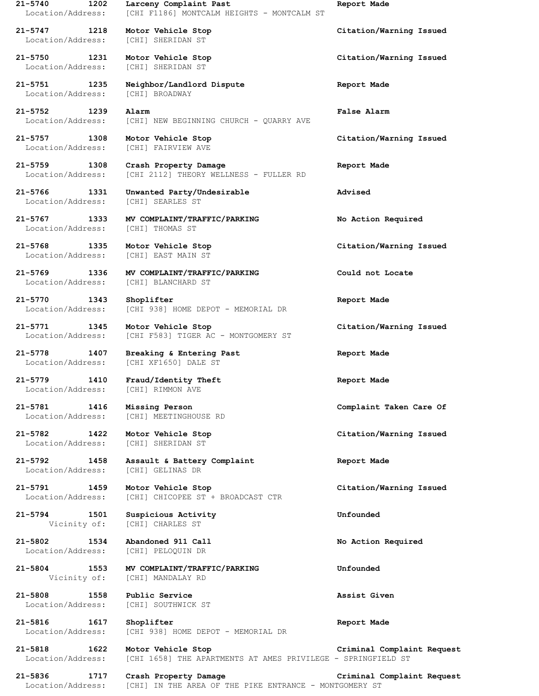Location/Address: [CHI] SHERIDAN ST

Location/Address: [CHI] SHERIDAN ST

Location/Address: [CHI] BROADWAY

Location/Address: [CHI] SEARLES ST

Location/Address: [CHI] BLANCHARD ST

**21-5770 1343 Shoplifter Report Made** Location/Address: [CHI 938] HOME DEPOT - MEMORIAL DR

**21-5771 1345 Motor Vehicle Stop Citation/Warning Issued** Location/Address: [CHI F583] TIGER AC - MONTGOMERY ST

Location/Address: [CHI XF1650] DALE ST

**21-5779 1410 Fraud/Identity Theft Report Made** Location/Address: [CHI] RIMMON AVE

Location/Address: [CHI] SHERIDAN ST

**21-5792 1458 Assault & Battery Complaint Report Made** Location/Address: [CHI] GELINAS DR

**21-5791 1459 Motor Vehicle Stop Citation/Warning Issued**

**21-5794 1501 Suspicious Activity Unfounded** Vicinity of: [CHI] CHARLES ST

**21-5802 1534 Abandoned 911 Call No Action Required** Location/Address: [CHI] PELOQUIN DR

**21-5804 1553 MV COMPLAINT/TRAFFIC/PARKING Unfounded** Vicinity of: [CHI] MANDALAY RD

**21-5808 1558 Public Service Assist Given** Location/Address: [CHI] SOUTHWICK ST

Location/Address: [CHI 938] HOME DEPOT - MEMORIAL DR

**21-5740 1202 Larceny Complaint Past Report Made** Location/Address: [CHI F1186] MONTCALM HEIGHTS - MONTCALM ST

**21-5751 1235 Neighbor/Landlord Dispute Report Made**

**21-5752 1239 Alarm False Alarm** [CHI] NEW BEGINNING CHURCH - QUARRY AVE

Location/Address: [CHI] FAIRVIEW AVE

**21-5759 1308 Crash Property Damage Report Made** Location/Address: [CHI 2112] THEORY WELLNESS - FULLER RD

**21-5766 1331 Unwanted Party/Undesirable Advised**

**21-5767 1333 MV COMPLAINT/TRAFFIC/PARKING No Action Required** Location/Address: [CHI] THOMAS ST

Location/Address: [CHI] EAST MAIN ST

**21-5769 1336 MV COMPLAINT/TRAFFIC/PARKING Could not Locate**

**21-5778 1407 Breaking & Entering Past Report Made**

Location/Address: [CHI] MEETINGHOUSE RD

Location/Address: [CHI] CHICOPEE ST + BROADCAST CTR

**21-5816 1617 Shoplifter Report Made**

**21-5818 1622 Motor Vehicle Stop Criminal Complaint Request** Location/Address: [CHI 1658] THE APARTMENTS AT AMES PRIVILEGE - SPRINGFIELD ST

**21-5836 1717 Crash Property Damage Criminal Complaint Request** Location/Address: [CHI] IN THE AREA OF THE PIKE ENTRANCE - MONTGOMERY ST

**21-5747 1218 Motor Vehicle Stop Citation/Warning Issued**

**21-5750 1231 Motor Vehicle Stop Citation/Warning Issued**

**21-5757 1308 Motor Vehicle Stop Citation/Warning Issued**

**21-5768 1335 Motor Vehicle Stop Citation/Warning Issued**

**21-5781 1416 Missing Person Complaint Taken Care Of**

**21-5782 1422 Motor Vehicle Stop Citation/Warning Issued**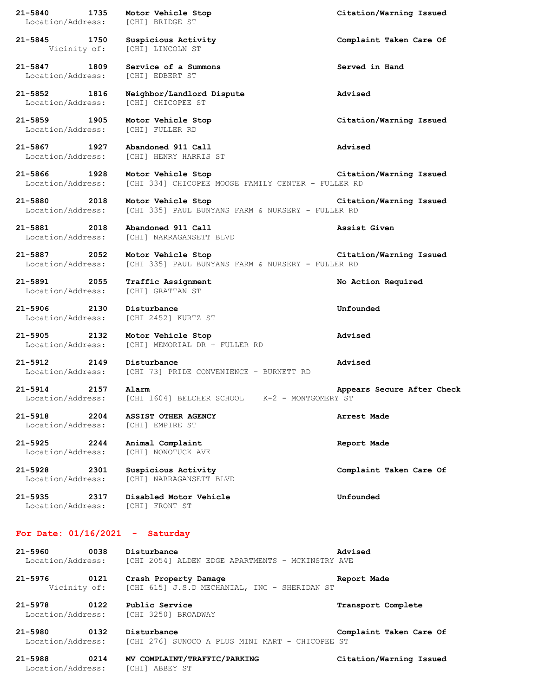**21-5840 1735 Motor Vehicle Stop Citation/Warning Issued** Location/Address: [CHI] BRIDGE ST **21-5845 1750 Suspicious Activity Complaint Taken Care Of** Vicinity of: [CHI] LINCOLN ST **21-5847 1809 Service of a Summons Served in Hand** Location/Address: [CHI] EDBERT ST **21-5852 1816 Neighbor/Landlord Dispute Advised** Location/Address: [CHI] CHICOPEE ST **21-5859 1905 Motor Vehicle Stop Citation/Warning Issued** Location/Address: [CHI] FULLER RD **21-5867 1927 Abandoned 911 Call Advised** Location/Address: [CHI] HENRY HARRIS ST **21-5866 1928 Motor Vehicle Stop Citation/Warning Issued** Location/Address: [CHI 334] CHICOPEE MOOSE FAMILY CENTER - FULLER RD **21-5880 2018 Motor Vehicle Stop Citation/Warning Issued** Location/Address: [CHI 335] PAUL BUNYANS FARM & NURSERY - FULLER RD **21-5881 2018 Abandoned 911 Call Assist Given** Location/Address: [CHI] NARRAGANSETT BLVD **21-5887 2052 Motor Vehicle Stop Citation/Warning Issued** Location/Address: [CHI 335] PAUL BUNYANS FARM & NURSERY - FULLER RD **21-5891 2055 Traffic Assignment No Action Required** Location/Address: [CHI] GRATTAN ST **21-5906 2130 Disturbance Unfounded** Location/Address: [CHI 2452] KURTZ ST **21-5905 2132 Motor Vehicle Stop Advised** Location/Address: [CHI] MEMORIAL DR + FULLER RD **21-5912 2149 Disturbance Advised** Location/Address: [CHI 73] PRIDE CONVENIENCE - BURNETT RD **21-5914 2157 Alarm Appears Secure After Check** Location/Address: [CHI 1604] BELCHER SCHOOL K-2 - MONTGOMERY ST **21-5918 2204 ASSIST OTHER AGENCY Arrest Made** Location/Address: [CHI] EMPIRE ST **21-5925 2244 Animal Complaint Report Made** Location/Address: [CHI] NONOTUCK AVE **21-5928 2301 Suspicious Activity Complaint Taken Care Of** Location/Address: [CHI] NARRAGANSETT BLVD **21-5935 2317 Disabled Motor Vehicle Unfounded** Location/Address: [CHI] FRONT ST **For Date: 01/16/2021 - Saturday 21-5960 0038 Disturbance Advised** Location/Address: [CHI 2054] ALDEN EDGE APARTMENTS - MCKINSTRY AVE **21-5976 0121 Crash Property Damage Report Made** Vicinity of: [CHI 615] J.S.D MECHANIAL, INC - SHERIDAN ST **21-5978 0122 Public Service Transport Complete** Location/Address: [CHI 3250] BROADWAY **21-5980 0132 Disturbance Complaint Taken Care Of** Location/Address: [CHI 276] SUNOCO A PLUS MINI MART - CHICOPEE ST

**21-5988 0214 MV COMPLAINT/TRAFFIC/PARKING Citation/Warning Issued** Location/Address: [CHI] ABBEY ST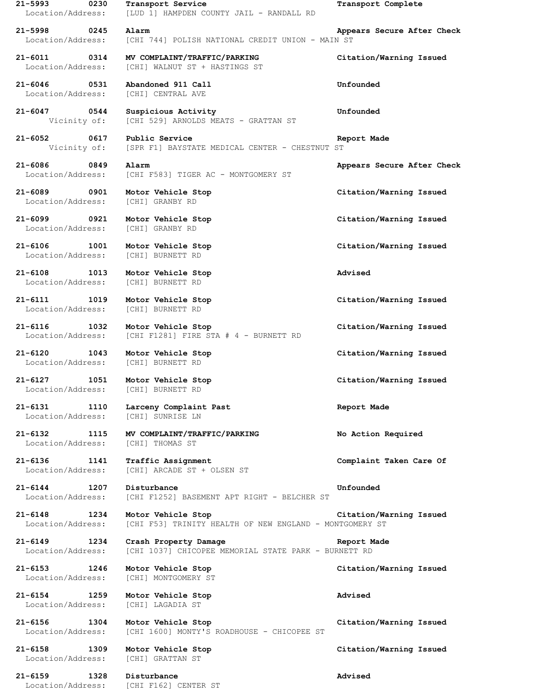**21-5993 0230 Transport Service Transport Complete** Location/Address: [LUD 1] HAMPDEN COUNTY JAIL - RANDALL RD **21-5998 0245 Alarm Appears Secure After Check** Location/Address: [CHI 744] POLISH NATIONAL CREDIT UNION - MAIN ST **21-6011 0314 MV COMPLAINT/TRAFFIC/PARKING Citation/Warning Issued** Location/Address: [CHI] WALNUT ST + HASTINGS ST **21-6046 0531 Abandoned 911 Call Unfounded** Location/Address: [CHI] CENTRAL AVE **21-6047 0544 Suspicious Activity Unfounded** Vicinity of: [CHI 529] ARNOLDS MEATS - GRATTAN ST **21-6052 0617 Public Service Report Made** Vicinity of: [SPR F1] BAYSTATE MEDICAL CENTER - CHESTNUT ST **21-6086 0849 Alarm Appears Secure After Check** Location/Address: [CHI F583] TIGER AC - MONTGOMERY ST **21-6089 0901 Motor Vehicle Stop Citation/Warning Issued** Location/Address: [CHI] GRANBY RD **21-6099 0921 Motor Vehicle Stop Citation/Warning Issued** Location/Address: [CHI] GRANBY RD **21-6106 1001 Motor Vehicle Stop Citation/Warning Issued** Location/Address: [CHI] BURNETT RD **21-6108 1013 Motor Vehicle Stop Advised** Location/Address: [CHI] BURNETT RD **21-6111 1019 Motor Vehicle Stop Citation/Warning Issued** Location/Address: [CHI] BURNETT RD **21-6116 1032 Motor Vehicle Stop Citation/Warning Issued** Location/Address: [CHI F1281] FIRE STA # 4 - BURNETT RD **21-6120 1043 Motor Vehicle Stop Citation/Warning Issued** Location/Address: [CHI] BURNETT RD **21-6127 1051 Motor Vehicle Stop Citation/Warning Issued** Location/Address: [CHI] BURNETT RD **21-6131 1110 Larceny Complaint Past Report Made** Location/Address: [CHI] SUNRISE LN **21-6132 1115 MV COMPLAINT/TRAFFIC/PARKING No Action Required** Location/Address: [CHI] THOMAS ST **21-6136 1141 Traffic Assignment Complaint Taken Care Of** Location/Address: [CHI] ARCADE ST + OLSEN ST **21-6144 1207 Disturbance Unfounded** Location/Address: [CHI F1252] BASEMENT APT RIGHT - BELCHER ST **21-6148 1234 Motor Vehicle Stop Citation/Warning Issued** Location/Address: [CHI F53] TRINITY HEALTH OF NEW ENGLAND - MONTGOMERY ST **21-6149 1234 Crash Property Damage Report Made** Location/Address: [CHI 1037] CHICOPEE MEMORIAL STATE PARK - BURNETT RD **21-6153 1246 Motor Vehicle Stop Citation/Warning Issued** Location/Address: [CHI] MONTGOMERY ST **21-6154 1259 Motor Vehicle Stop Advised** Location/Address: [CHI] LAGADIA ST **21-6156 1304 Motor Vehicle Stop Citation/Warning Issued** Location/Address: [CHI 1600] MONTY'S ROADHOUSE - CHICOPEE ST **21-6158 1309 Motor Vehicle Stop Citation/Warning Issued** Location/Address: [CHI] GRATTAN ST **21-6159 1328 Disturbance Advised** Location/Address: [CHI F162] CENTER ST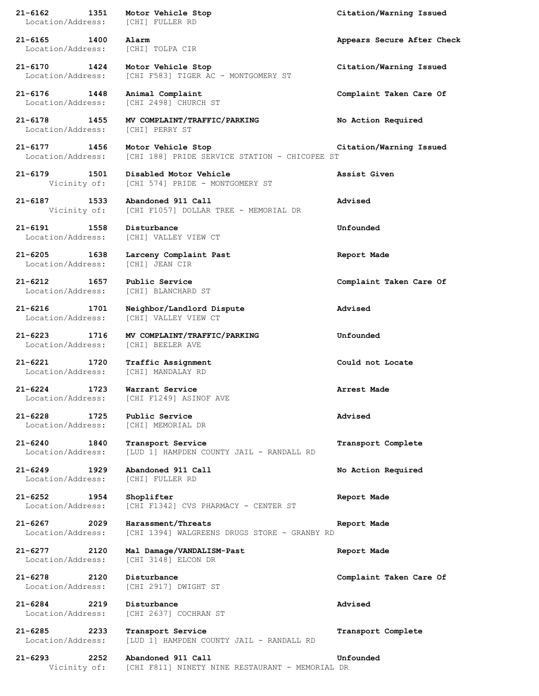| 21-6162 1351                             | Motor Vehicle Stop<br>Location/Address: [CHI] FULLER RD               | Citation/Warning Issued    |
|------------------------------------------|-----------------------------------------------------------------------|----------------------------|
| 21-6165 1400<br>Location/Address:        | Alarm<br>[CHI] TOLPA CIR                                              | Appears Secure After Check |
| 21-6170 1424<br>Location/Address:        | Motor Vehicle Stop<br>[CHI F583] TIGER AC - MONTGOMERY ST             | Citation/Warning Issued    |
| 21-6176 1448<br>Location/Address:        | Animal Complaint<br>[CHI 2498] CHURCH ST                              | Complaint Taken Care Of    |
| 21-6178 1455<br>Location/Address:        | MV COMPLAINT/TRAFFIC/PARKING<br>[CHI] PERRY ST                        | No Action Required         |
| 21-6177 1456<br>Location/Address:        | Motor Vehicle Stop<br>[CHI 188] PRIDE SERVICE STATION - CHICOPEE ST   | Citation/Warning Issued    |
| 21-6179 1501<br>Vicinity of:             | Disabled Motor Vehicle<br>[CHI 574] PRIDE - MONTGOMERY ST             | Assist Given               |
| 21-6187<br>1533<br>Vicinity of:          | Abandoned 911 Call<br>[CHI F1057] DOLLAR TREE - MEMORIAL DR           | Advised                    |
| 21-6191 1558<br>Location/Address:        | Disturbance<br>[CHI] VALLEY VIEW CT                                   | Unfounded                  |
| 21-6205 1638<br>Location/Address:        | Larceny Complaint Past<br>[CHI] JEAN CIR                              | Report Made                |
| 21-6212 1657<br>Location/Address:        | Public Service<br>[CHI] BLANCHARD ST                                  | Complaint Taken Care Of    |
| 21-6216 1701<br>Location/Address:        | Neighbor/Landlord Dispute<br>[CHI] VALLEY VIEW CT                     | Advised                    |
| 21-6223 1716<br>Location/Address:        | MV COMPLAINT/TRAFFIC/PARKING<br>[CHI] BEELER AVE                      | Unfounded                  |
| 21-6221 1720<br>Location/Address:        | Traffic Assignment<br>[CHI] MANDALAY RD                               | Could not Locate           |
| $21 - 6224$<br>1723<br>Location/Address: | Warrant Service<br>[CHI F1249] ASINOF AVE                             | Arrest Made                |
| $21 - 6228$<br>1725<br>Location/Address: | Public Service<br>[CHI] MEMORIAL DR                                   | Advised                    |
| 21-6240<br>1840<br>Location/Address:     | Transport Service<br>[LUD 1] HAMPDEN COUNTY JAIL - RANDALL RD         | Transport Complete         |
| $21 - 6249$<br>1929<br>Location/Address: | Abandoned 911 Call<br>[CHI] FULLER RD                                 | No Action Required         |
| 21-6252 1954<br>Location/Address:        | Shoplifter<br>[CHI F1342] CVS PHARMACY - CENTER ST                    | Report Made                |
| $21 - 6267$<br>2029<br>Location/Address: | Harassment/Threats<br>[CHI 1394] WALGREENS DRUGS STORE - GRANBY RD    | Report Made                |
| $21 - 6277$<br>2120<br>Location/Address: | Mal Damage/VANDALISM-Past<br>[CHI 3148] ELCON DR                      | Report Made                |
| 21-6278<br>2120<br>Location/Address:     | Disturbance<br>[CHI 2917] DWIGHT ST                                   | Complaint Taken Care Of    |
| 21-6284<br>2219<br>Location/Address:     | Disturbance<br>[CHI 2637] COCHRAN ST                                  | Advised                    |
| 21-6285<br>2233<br>Location/Address:     | Transport Service<br>[LUD 1] HAMPDEN COUNTY JAIL - RANDALL RD         | Transport Complete         |
| $21 - 6293$<br>2252<br>Vicinity of:      | Abandoned 911 Call<br>[CHI F811] NINETY NINE RESTAURANT - MEMORIAL DR | Unfounded                  |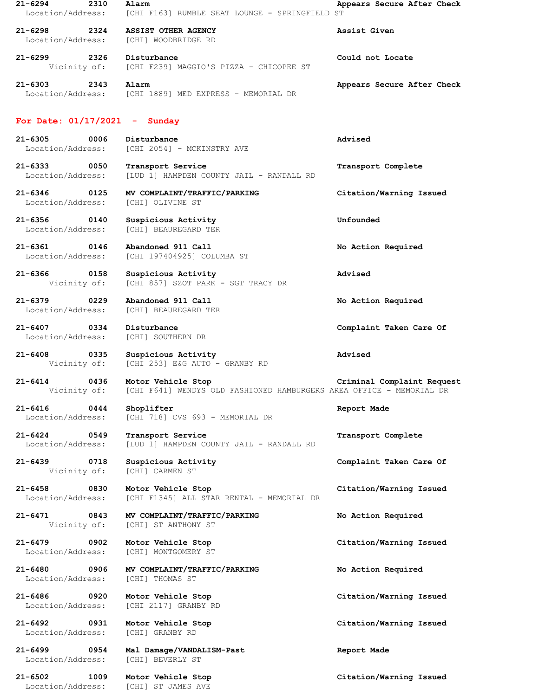| $21 - 6294$<br>2310<br>Location/Address: | Alarm<br>[CHI F163] RUMBLE SEAT LOUNGE - SPRINGFIELD ST                                    | Appears Secure After Check |
|------------------------------------------|--------------------------------------------------------------------------------------------|----------------------------|
| $21 - 6298$<br>2324<br>Location/Address: | ASSIST OTHER AGENCY<br>[CHI] WOODBRIDGE RD                                                 | Assist Given               |
| $21 - 6299$ 2326<br>Vicinity of:         | Disturbance<br>[CHI F239] MAGGIO'S PIZZA - CHICOPEE ST                                     | Could not Locate           |
| $21 - 6303$<br>2343                      | Alarm<br>Location/Address: [CHI 1889] MED EXPRESS - MEMORIAL DR                            | Appears Secure After Check |
| For Date: $01/17/2021$ - Sunday          |                                                                                            |                            |
| $21 - 6305$<br>0006<br>Location/Address: | Disturbance<br>[CHI 2054] - MCKINSTRY AVE                                                  | Advised                    |
| $21 - 6333$<br>0050<br>Location/Address: | Transport Service<br>[LUD 1] HAMPDEN COUNTY JAIL - RANDALL RD                              | Transport Complete         |
| $21 - 6346$ 0125<br>Location/Address:    | MV COMPLAINT/TRAFFIC/PARKING<br>[CHI] OLIVINE ST                                           | Citation/Warning Issued    |
| $21 - 6356$<br>0140<br>Location/Address: | Suspicious Activity<br>[CHI] BEAUREGARD TER                                                | Unfounded                  |
| 21-6361 0146<br>Location/Address:        | Abandoned 911 Call<br>[CHI 197404925] COLUMBA ST                                           | No Action Required         |
| $21 - 6366$<br>0158<br>Vicinity of:      | Suspicious Activity<br>[CHI 857] SZOT PARK - SGT TRACY DR                                  | Advised                    |
| $21 - 6379$<br>0229<br>Location/Address: | Abandoned 911 Call<br>[CHI] BEAUREGARD TER                                                 | No Action Required         |
| $21 - 6407$<br>0334<br>Location/Address: | Disturbance<br>[CHI] SOUTHERN DR                                                           | Complaint Taken Care Of    |
| $21 - 6408$<br>Vicinity of:              | Suspicious Activity<br>[CHI 253] E&G AUTO - GRANBY RD                                      | Advised                    |
| $21 - 6414$<br>0436<br>Vicinity of:      | Motor Vehicle Stop<br>[CHI F641] WENDYS OLD FASHIONED HAMBURGERS AREA OFFICE - MEMORIAL DR | Criminal Complaint Request |
| $21 - 6416$<br>0444<br>Location/Address: | Shoplifter<br>[CHI 718] CVS 693 - MEMORIAL DR                                              | Report Made                |
| $21 - 6424$ 0549<br>Location/Address:    | Transport Service<br>[LUD 1] HAMPDEN COUNTY JAIL - RANDALL RD                              | Transport Complete         |
| $21 - 6439$<br>0718<br>Vicinity of:      | Suspicious Activity<br>[CHI] CARMEN ST                                                     | Complaint Taken Care Of    |
| $21 - 6458$<br>0830<br>Location/Address: | Motor Vehicle Stop<br>[CHI F1345] ALL STAR RENTAL - MEMORIAL DR                            | Citation/Warning Issued    |
| 21-6471<br>0843<br>Vicinity of:          | MV COMPLAINT/TRAFFIC/PARKING<br>[CHI] ST ANTHONY ST                                        | No Action Required         |
| $21 - 6479$<br>0902<br>Location/Address: | Motor Vehicle Stop<br>[CHI] MONTGOMERY ST                                                  | Citation/Warning Issued    |
| $21 - 6480$<br>0906<br>Location/Address: | MV COMPLAINT/TRAFFIC/PARKING<br>[CHI] THOMAS ST                                            | No Action Required         |
| $21 - 6486$<br>0920<br>Location/Address: | Motor Vehicle Stop<br>[CHI 2117] GRANBY RD                                                 | Citation/Warning Issued    |
| 21-6492 0931<br>Location/Address:        | Motor Vehicle Stop<br>[CHI] GRANBY RD                                                      | Citation/Warning Issued    |
| $21 - 6499$<br>0954<br>Location/Address: | Mal Damage/VANDALISM-Past<br>[CHI] BEVERLY ST                                              | Report Made                |
| 21-6502 1009<br>Location/Address:        | Motor Vehicle Stop<br>[CHI] ST JAMES AVE                                                   | Citation/Warning Issued    |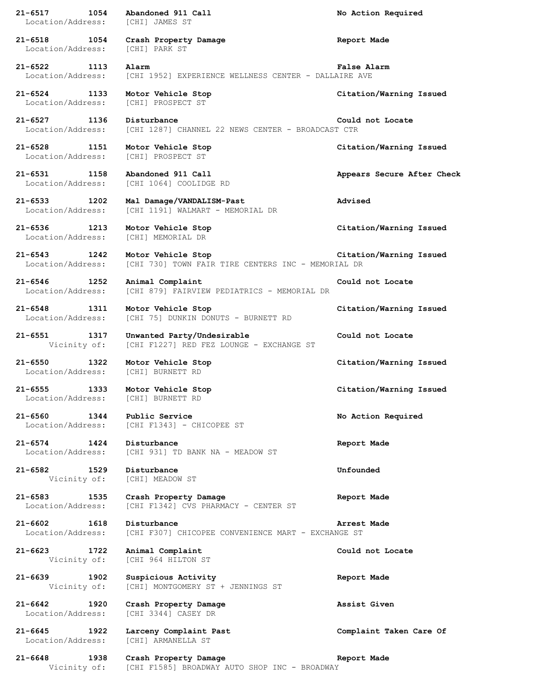| 1054<br>21-6517<br>Location/Address:                      | Abandoned 911 Call<br>[CHI] JAMES ST                                     | No Action Required         |
|-----------------------------------------------------------|--------------------------------------------------------------------------|----------------------------|
| 21-6518 1054<br>Location/Address:                         | Crash Property Damage<br>[CHI] PARK ST                                   | Report Made                |
| 21-6522 1113<br>Location/Address:                         | Alarm<br>[CHI 1952] EXPERIENCE WELLNESS CENTER - DALLAIRE AVE            | False Alarm                |
| 21-6524 1133<br>Location/Address:                         | Motor Vehicle Stop<br>[CHI] PROSPECT ST                                  | Citation/Warning Issued    |
| $21 - 6527$<br>1136<br>Location/Address:                  | Disturbance<br>[CHI 1287] CHANNEL 22 NEWS CENTER - BROADCAST CTR         | Could not Locate           |
| 21-6528 1151<br>Location/Address:                         | Motor Vehicle Stop<br>[CHI] PROSPECT ST                                  | Citation/Warning Issued    |
| 21-6531 1158<br>Location/Address:                         | Abandoned 911 Call<br>[CHI 1064] COOLIDGE RD                             | Appears Secure After Check |
| 21-6533<br>1202<br>Location/Address:                      | Mal Damage/VANDALISM-Past<br>[CHI 1191] WALMART - MEMORIAL DR            | Advised                    |
| 21-6536 1213<br>Location/Address:                         | Motor Vehicle Stop<br>[CHI] MEMORIAL DR                                  | Citation/Warning Issued    |
| $21 - 6543$<br>1242<br>Location/Address:                  | Motor Vehicle Stop<br>[CHI 730] TOWN FAIR TIRE CENTERS INC - MEMORIAL DR | Citation/Warning Issued    |
| $21 - 6546$<br>1252<br>Location/Address:                  | Animal Complaint<br>[CHI 879] FAIRVIEW PEDIATRICS - MEMORIAL DR          | Could not Locate           |
| $21 - 6548$<br>1311<br>Location/Address:                  | Motor Vehicle Stop<br>[CHI 75] DUNKIN DONUTS - BURNETT RD                | Citation/Warning Issued    |
| $21 - 6551$<br>1317<br>Vicinity of:                       | Unwanted Party/Undesirable<br>[CHI F1227] RED FEZ LOUNGE - EXCHANGE ST   | Could not Locate           |
| 21-6550 1322<br>Location/Address:                         | Motor Vehicle Stop<br>[CHI] BURNETT RD                                   | Citation/Warning Issued    |
| $21 - 6555$<br>1333<br>Location/Address: [CHI] BURNETT RD | Motor Vehicle Stop                                                       | Citation/Warning Issued    |
| $21 - 6560$<br>1344                                       | Public Service<br>Location/Address: [CHI F1343] - CHICOPEE ST            | No Action Required         |
| 21-6574 1424<br>Location/Address:                         | Disturbance<br>[CHI 931] TD BANK NA - MEADOW ST                          | Report Made                |
| 21-6582 1529<br>Vicinity of:                              | Disturbance<br>[CHI] MEADOW ST                                           | Unfounded                  |
| 21-6583 1535<br>Location/Address:                         | Crash Property Damage<br>[CHI F1342] CVS PHARMACY - CENTER ST            | Report Made                |
| 21-6602 1618<br>Location/Address:                         | Disturbance<br>[CHI F307] CHICOPEE CONVENIENCE MART - EXCHANGE ST        | Arrest Made                |
| 21-6623 1722<br>Vicinity of:                              | Animal Complaint<br>[CHI 964 HILTON ST                                   | Could not Locate           |
| 1902<br>21-6639<br>Vicinity of:                           | Suspicious Activity<br>[CHI] MONTGOMERY ST + JENNINGS ST                 | Report Made                |
| 21-6642 1920<br>Location/Address:                         | Crash Property Damage<br>[CHI 3344] CASEY DR                             | Assist Given               |
| 21-6645 1922<br>Location/Address:                         | Larceny Complaint Past<br>[CHI] ARMANELLA ST                             | Complaint Taken Care Of    |
| $21 - 6648$<br>1938<br>Vicinity of:                       | Crash Property Damage<br>[CHI F1585] BROADWAY AUTO SHOP INC - BROADWAY   | Report Made                |